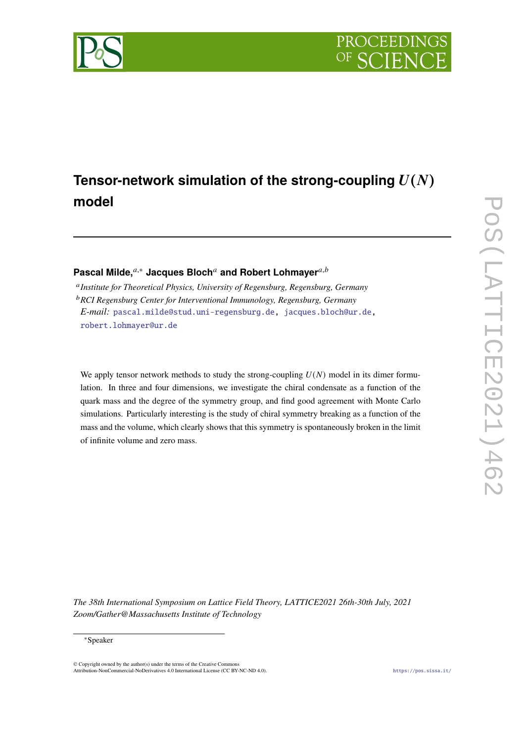

# Tensor-network simulation of the strong-coupling  $U(N)$ **model**

## **Pascal Milde,**<sup>*a*,∗</sup> Jacques Bloch<sup>*a*</sup> and Robert Lohmayer<sup>*a,b*</sup>

 *Institute for Theoretical Physics, University of Regensburg, Regensburg, Germany RCI Regensburg Center for Interventional Immunology, Regensburg, Germany E-mail:* [pascal.milde@stud.uni-regensburg.de,](mailto:pascal.milde@stud.uni-regensburg.de) [jacques.bloch@ur.de](mailto:jacques.bloch@ur.de), [robert.lohmayer@ur.de](mailto:robert.lohmayer@ur.de)

We apply tensor network methods to study the strong-coupling  $U(N)$  model in its dimer formulation. In three and four dimensions, we investigate the chiral condensate as a function of the quark mass and the degree of the symmetry group, and find good agreement with Monte Carlo simulations. Particularly interesting is the study of chiral symmetry breaking as a function of the mass and the volume, which clearly shows that this symmetry is spontaneously broken in the limit of infinite volume and zero mass.

*The 38th International Symposium on Lattice Field Theory, LATTICE2021 26th-30th July, 2021 Zoom/Gather@Massachusetts Institute of Technology*

#### <sup>∗</sup>Speaker

© Copyright owned by the author(s) under the terms of the Creative Commons Attribution-NonCommercial-NoDerivatives 4.0 International License (CC BY-NC-ND 4.0). <https://pos.sissa.it/>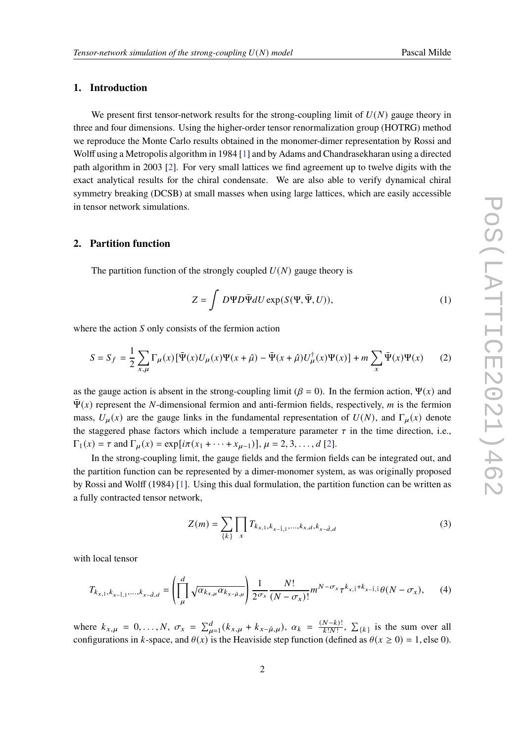### **1. Introduction**

We present first tensor-network results for the strong-coupling limit of  $U(N)$  gauge theory in three and four dimensions. Using the higher-order tensor renormalization group (HOTRG) method we reproduce the Monte Carlo results obtained in the monomer-dimer representation by Rossi and Wolff using a Metropolis algorithm in 1984 [[1](#page-7-0)] and by Adams and Chandrasekharan using a directed path algorithm in 2003 [[2](#page-7-1)]. For very small lattices we find agreement up to twelve digits with the exact analytical results for the chiral condensate. We are also able to verify dynamical chiral symmetry breaking (DCSB) at small masses when using large lattices, which are easily accessible in tensor network simulations.

#### **2. Partition function**

The partition function of the strongly coupled  $U(N)$  gauge theory is

$$
Z = \int D\Psi D\bar{\Psi}dU \exp(S(\Psi, \bar{\Psi}, U)), \tag{1}
$$

where the action  $S$  only consists of the fermion action

$$
S = S_f = \frac{1}{2} \sum_{x,\mu} \Gamma_{\mu}(x) \left[ \bar{\Psi}(x) U_{\mu}(x) \Psi(x + \hat{\mu}) - \bar{\Psi}(x + \hat{\mu}) U_{\mu}^{\dagger}(x) \Psi(x) \right] + m \sum_{x} \bar{\Psi}(x) \Psi(x) \tag{2}
$$

as the gauge action is absent in the strong-coupling limit ( $\beta = 0$ ). In the fermion action,  $\Psi(x)$  and  $\Psi(x)$  represent the N-dimensional fermion and anti-fermion fields, respectively, m is the fermion mass,  $U_{\mu}(x)$  are the gauge links in the fundamental representation of  $U(N)$ , and  $\Gamma_{\mu}(x)$  denote the staggered phase factors which include a temperature parameter  $\tau$  in the time direction, i.e.,  $\Gamma_1(x) = \tau$  and  $\Gamma_{\mu}(x) = \exp[i\pi(x_1 + \cdots + x_{\mu-1})], \mu = 2, 3, \ldots, d$  $\Gamma_{\mu}(x) = \exp[i\pi(x_1 + \cdots + x_{\mu-1})], \mu = 2, 3, \ldots, d$  $\Gamma_{\mu}(x) = \exp[i\pi(x_1 + \cdots + x_{\mu-1})], \mu = 2, 3, \ldots, d$  [2].

In the strong-coupling limit, the gauge fields and the fermion fields can be integrated out, and the partition function can be represented by a dimer-monomer system, as was originally proposed by Rossi and Wolff (1984) [[1\]](#page-7-0). Using this dual formulation, the partition function can be written as a fully contracted tensor network,

<span id="page-1-0"></span>
$$
Z(m) = \sum_{\{k\}} \prod_{x} T_{k_{x,1}, k_{x-\hat{1},1}, \dots, k_{x,d}, k_{x-\hat{d},d}}
$$
(3)

with local tensor

$$
T_{k_{x,1},k_{x-\hat{1},1},...,k_{x-\hat{d},d}} = \left(\prod_{\mu}^{d} \sqrt{\alpha_{k_{x,\mu}} \alpha_{k_{x-\hat{\mu},\mu}}}\right) \frac{1}{2^{\sigma_x}} \frac{N!}{(N-\sigma_x)!} m^{N-\sigma_x} \tau^{k_{x,\hat{1}}+k_{x-\hat{1},\hat{1}}}\theta(N-\sigma_x),\tag{4}
$$

where  $k_{x,\mu} = 0, ..., N, \sigma_x = \sum_{\mu=1}^d (k_{x,\mu} + k_{x-\hat{\mu},\mu}), \alpha_k = \frac{(N-k)!}{k!N!}$  $\frac{N-k)!}{k!N!}$ ,  $\Sigma_{\{k\}}$  is the sum over all configurations in k-space, and  $\theta(x)$  is the Heaviside step function (defined as  $\theta(x \ge 0) = 1$ , else 0).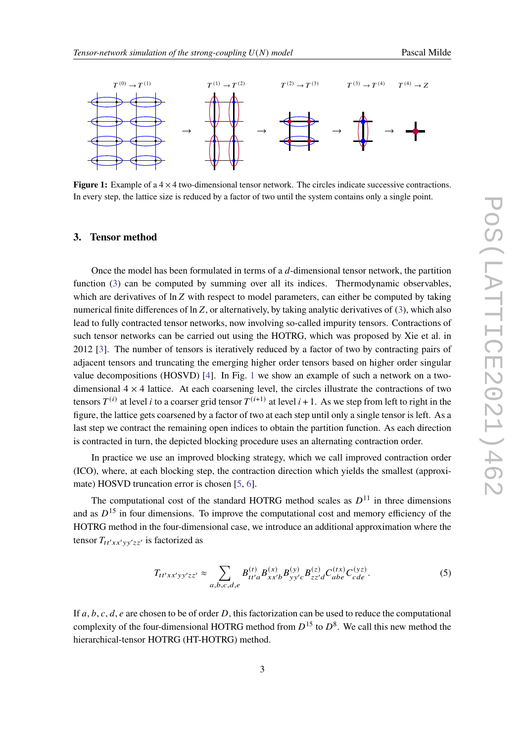<span id="page-2-0"></span>

**Figure 1:** Example of a  $4 \times 4$  two-dimensional tensor network. The circles indicate successive contractions. In every step, the lattice size is reduced by a factor of two until the system contains only a single point.

#### **3. Tensor method**

Once the model has been formulated in terms of a  $d$ -dimensional tensor network, the partition function ([3](#page-1-0)) can be computed by summing over all its indices. Thermodynamic observables, which are derivatives of  $\ln Z$  with respect to model parameters, can either be computed by taking numerical finite differences of  $\ln Z$ , or alternatively, by taking analytic derivatives of ([3\)](#page-1-0), which also lead to fully contracted tensor networks, now involving so-called impurity tensors. Contractions of such tensor networks can be carried out using the HOTRG, which was proposed by Xie et al. in 2012 [\[3\]](#page-7-2). The number of tensors is iteratively reduced by a factor of two by contracting pairs of adjacent tensors and truncating the emerging higher order tensors based on higher order singular value decompositions (HOSVD) [\[4\]](#page-7-3). In Fig. [1](#page-2-0) we show an example of such a network on a twodimensional  $4 \times 4$  lattice. At each coarsening level, the circles illustrate the contractions of two tensors  $T^{(i)}$  at level *i* to a coarser grid tensor  $T^{(i+1)}$  at level *i* + 1. As we step from left to right in the figure, the lattice gets coarsened by a factor of two at each step until only a single tensor is left. As a last step we contract the remaining open indices to obtain the partition function. As each direction is contracted in turn, the depicted blocking procedure uses an alternating contraction order.

In practice we use an improved blocking strategy, which we call improved contraction order (ICO), where, at each blocking step, the contraction direction which yields the smallest (approximate) HOSVD truncation error is chosen [[5](#page-7-4), [6](#page-7-5)].

The computational cost of the standard HOTRG method scales as  $D^{11}$  in three dimensions and as  $D^{15}$  in four dimensions. To improve the computational cost and memory efficiency of the HOTRG method in the four-dimensional case, we introduce an additional approximation where the tensor  $T_{tt'xx'vv'zz'}$  is factorized as

<span id="page-2-1"></span>
$$
T_{tt'xx'yy'zz'} \approx \sum_{a,b,c,d,e} B_{tt'a}^{(t)} B_{xx'b}^{(x)} B_{yy'c}^{(y)} B_{zz'd}^{(z)} C_{abe}^{(tx)} C_{cde}^{(yz)}.
$$
 (5)

If  $a, b, c, d, e$  are chosen to be of order  $D$ , this factorization can be used to reduce the computational complexity of the four-dimensional HOTRG method from  $D^{15}$  to  $D^8$ . We call this new method the hierarchical-tensor HOTRG (HT-HOTRG) method.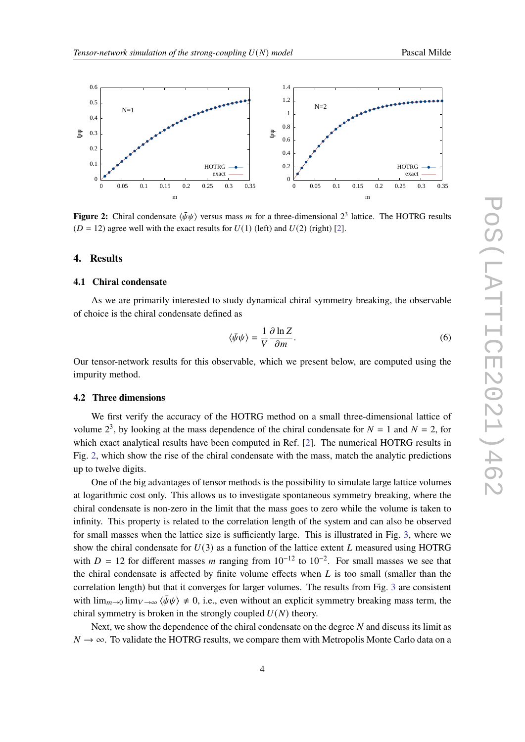<span id="page-3-0"></span>

**Figure 2:** Chiral condensate  $\langle \bar{\psi}\psi \rangle$  versus mass m for a three-dimensional  $2^3$  lattice. The HOTRG results  $(D = 12)$  agree well with the exact results for  $U(1)$  (left) and  $U(2)$  (right) [\[2](#page-7-1)].

#### **4. Results**

#### **4.1 Chiral condensate**

As we are primarily interested to study dynamical chiral symmetry breaking, the observable of choice is the chiral condensate defined as

$$
\langle \bar{\psi}\psi \rangle = \frac{1}{V} \frac{\partial \ln Z}{\partial m}.
$$
\n(6)

Our tensor-network results for this observable, which we present below, are computed using the impurity method.

#### **4.2 Three dimensions**

We first verify the accuracy of the HOTRG method on a small three-dimensional lattice of volume  $2^3$ , by looking at the mass dependence of the chiral condensate for  $N = 1$  and  $N = 2$ , for which exact analytical results have been computed in Ref. [\[2\]](#page-7-1). The numerical HOTRG results in Fig. [2,](#page-3-0) which show the rise of the chiral condensate with the mass, match the analytic predictions up to twelve digits.

One of the big advantages of tensor methods is the possibility to simulate large lattice volumes at logarithmic cost only. This allows us to investigate spontaneous symmetry breaking, where the chiral condensate is non-zero in the limit that the mass goes to zero while the volume is taken to infinity. This property is related to the correlation length of the system and can also be observed for small masses when the lattice size is sufficiently large. This is illustrated in Fig. [3](#page-4-0), where we show the chiral condensate for  $U(3)$  as a function of the lattice extent L measured using HOTRG with  $D = 12$  for different masses m ranging from  $10^{-12}$  to  $10^{-2}$ . For small masses we see that the chiral condensate is affected by finite volume effects when  $L$  is too small (smaller than the correlation length) but that it converges for larger volumes. The results from Fig. [3](#page-4-0) are consistent with  $\lim_{m\to 0} \lim_{V\to\infty} \langle \bar{\psi}\psi \rangle \neq 0$ , i.e., even without an explicit symmetry breaking mass term, the chiral symmetry is broken in the strongly coupled  $U(N)$  theory.

Next, we show the dependence of the chiral condensate on the degree  $N$  and discuss its limit as  $N \rightarrow \infty$ . To validate the HOTRG results, we compare them with Metropolis Monte Carlo data on a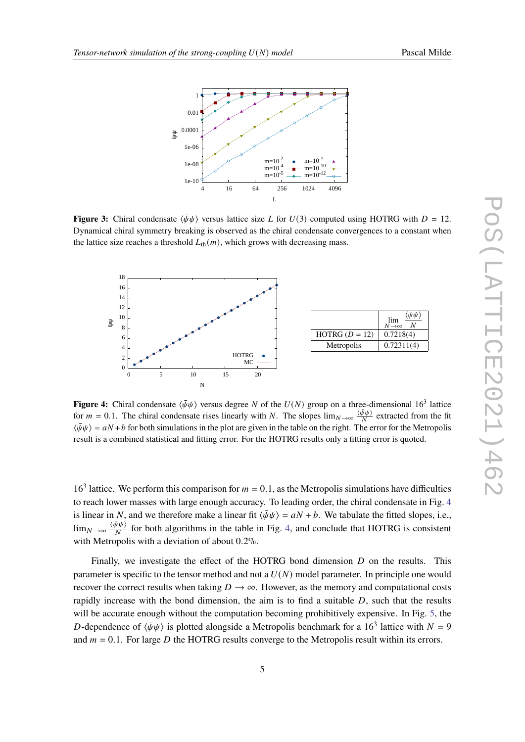<span id="page-4-0"></span>

**Figure 3:** Chiral condensate  $\langle \bar{\psi}\psi \rangle$  versus lattice size L for  $U(3)$  computed using HOTRG with  $D = 12$ . Dynamical chiral symmetry breaking is observed as the chiral condensate convergences to a constant when the lattice size reaches a threshold  $L_{th}(m)$ , which grows with decreasing mass.

<span id="page-4-1"></span>

**Figure 4:** Chiral condensate  $\langle \bar{\psi}\psi \rangle$  versus degree N of the  $U(N)$  group on a three-dimensional 16<sup>3</sup> lattice for  $m = 0.1$ . The chiral condensate rises linearly with N. The slopes  $\lim_{N\to\infty} \frac{\langle \bar{\psi}\psi \rangle}{N}$  $\frac{\partial \psi}{\partial t}$  extracted from the fit  $\langle \bar{\psi}\psi \rangle = aN + b$  for both simulations in the plot are given in the table on the right. The error for the Metropolis result is a combined statistical and fitting error. For the HOTRG results only a fitting error is quoted.

16<sup>3</sup> lattice. We perform this comparison for  $m = 0.1$ , as the Metropolis simulations have difficulties to reach lower masses with large enough accuracy. To leading order, the chiral condensate in Fig. [4](#page-4-1) is linear in N, and we therefore make a linear fit  $\langle \bar{\psi}\psi \rangle = aN + b$ . We tabulate the fitted slopes, i.e.,  $\lim_{N\to\infty}\frac{\langle\bar{\psi}\psi\rangle}{N}$  $\frac{\partial \Psi(y)}{\partial \theta}$  for both algorithms in the table in Fig. [4,](#page-4-1) and conclude that HOTRG is consistent with Metropolis with a deviation of about 0*.*2%.

Finally, we investigate the effect of the HOTRG bond dimension  $D$  on the results. This parameter is specific to the tensor method and not a  $U(N)$  model parameter. In principle one would recover the correct results when taking  $D \to \infty$ . However, as the memory and computational costs rapidly increase with the bond dimension, the aim is to find a suitable  $D$ , such that the results will be accurate enough without the computation becoming prohibitively expensive. In Fig. [5,](#page-5-0) the D-dependence of  $\langle \bar{\psi}\psi \rangle$  is plotted alongside a Metropolis benchmark for a 16<sup>3</sup> lattice with  $N = 9$ and  $m = 0.1$ . For large D the HOTRG results converge to the Metropolis result within its errors.

 $\lim_{N\to\infty}$ 

 $\langle \bar{\psi}\psi$  $\overline{N}$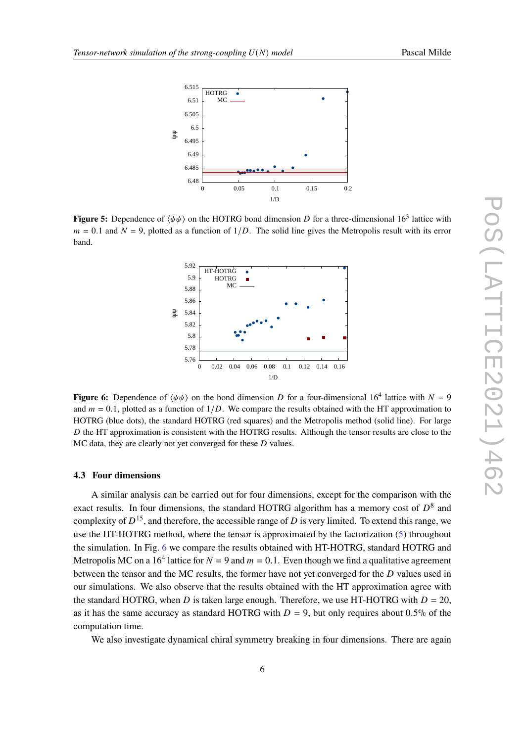<span id="page-5-0"></span>

<span id="page-5-1"></span>**Figure 5:** Dependence of  $\langle \bar{\psi}\psi \rangle$  on the HOTRG bond dimension D for a three-dimensional 16<sup>3</sup> lattice with  $m = 0.1$  and  $N = 9$ , plotted as a function of  $1/D$ . The solid line gives the Metropolis result with its error band.



**Figure 6:** Dependence of  $\langle \bar{\psi}\psi \rangle$  on the bond dimension D for a four-dimensional 16<sup>4</sup> lattice with  $N = 9$ and  $m = 0.1$ , plotted as a function of  $1/D$ . We compare the results obtained with the HT approximation to HOTRG (blue dots), the standard HOTRG (red squares) and the Metropolis method (solid line). For large  $D$  the HT approximation is consistent with the HOTRG results. Although the tensor results are close to the  $MC$  data, they are clearly not yet converged for these  $D$  values.

#### **4.3 Four dimensions**

A similar analysis can be carried out for four dimensions, except for the comparison with the exact results. In four dimensions, the standard HOTRG algorithm has a memory cost of  $D^8$  and complexity of  $D^{15}$ , and therefore, the accessible range of D is very limited. To extend this range, we use the HT-HOTRG method, where the tensor is approximated by the factorization [\(5\)](#page-2-1) throughout the simulation. In Fig. [6](#page-5-1) we compare the results obtained with HT-HOTRG, standard HOTRG and Metropolis MC on a 16<sup>4</sup> lattice for  $N = 9$  and  $m = 0.1$ . Even though we find a qualitative agreement between the tensor and the MC results, the former have not yet converged for the  $D$  values used in our simulations. We also observe that the results obtained with the HT approximation agree with the standard HOTRG, when D is taken large enough. Therefore, we use HT-HOTRG with  $D = 20$ , as it has the same accuracy as standard HOTRG with  $D = 9$ , but only requires about 0.5% of the computation time.

We also investigate dynamical chiral symmetry breaking in four dimensions. There are again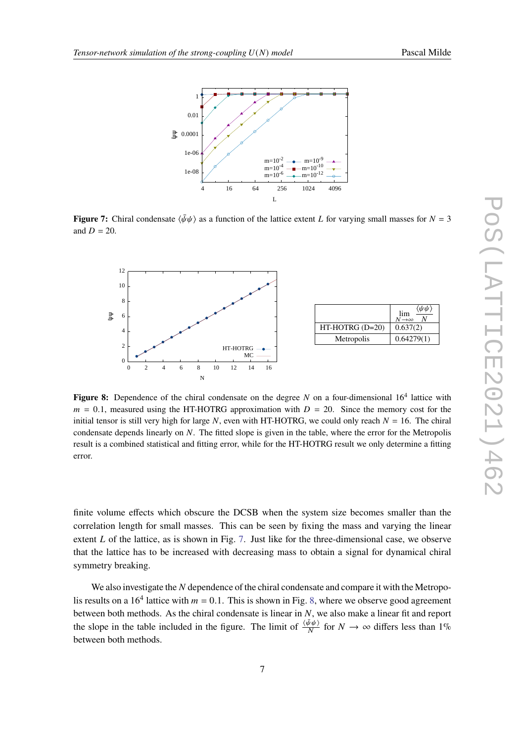<span id="page-6-0"></span>

**Figure 7:** Chiral condensate  $\langle \bar{\psi}\psi \rangle$  as a function of the lattice extent L for varying small masses for  $N = 3$ and  $D = 20$ .

<span id="page-6-1"></span>

|                   | $\langle \bar{\psi} \bar{\psi} \rangle$<br>lim<br>$N \rightarrow \infty$ |
|-------------------|--------------------------------------------------------------------------|
| $HT-HOTRG$ (D=20) | 0.637(2)                                                                 |
| Metropolis        | 0.64279(1)                                                               |

Figure 8: Dependence of the chiral condensate on the degree  $N$  on a four-dimensional  $16<sup>4</sup>$  lattice with  $m = 0.1$ , measured using the HT-HOTRG approximation with  $D = 20$ . Since the memory cost for the initial tensor is still very high for large N, even with HT-HOTRG, we could only reach  $N = 16$ . The chiral condensate depends linearly on  $N$ . The fitted slope is given in the table, where the error for the Metropolis result is a combined statistical and fitting error, while for the HT-HOTRG result we only determine a fitting error.

finite volume effects which obscure the DCSB when the system size becomes smaller than the correlation length for small masses. This can be seen by fixing the mass and varying the linear extent  $L$  of the lattice, as is shown in Fig. [7](#page-6-0). Just like for the three-dimensional case, we observe that the lattice has to be increased with decreasing mass to obtain a signal for dynamical chiral symmetry breaking.

We also investigate the  $N$  dependence of the chiral condensate and compare it with the Metropolis results on a 16<sup>4</sup> lattice with  $m = 0.1$ . This is shown in Fig. [8,](#page-6-1) where we observe good agreement between both methods. As the chiral condensate is linear in  $N$ , we also make a linear fit and report the slope in the table included in the figure. The limit of  $\frac{\langle \bar{\psi}\psi \rangle}{N}$  for  $N \to \infty$  differs less than 1% between both methods.